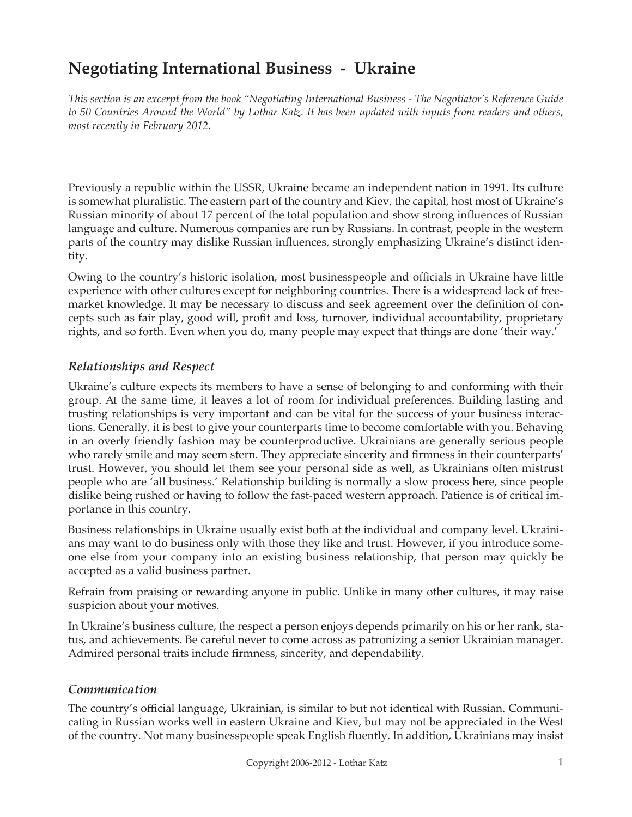# **Negotiating International Business - Ukraine**

*This section is an excerpt from the book "Negotiating International Business - The Negotiator's Reference Guide to 50 Countries Around the World" by Lothar Katz. It has been updated with inputs from readers and others, most recently in February 2012.*

Previously a republic within the USSR, Ukraine became an independent nation in 1991. Its culture is somewhat pluralistic. The eastern part of the country and Kiev, the capital, host most of Ukraine's Russian minority of about 17 percent of the total population and show strong influences of Russian language and culture. Numerous companies are run by Russians. In contrast, people in the western parts of the country may dislike Russian influences, strongly emphasizing Ukraine's distinct identity.

Owing to the country's historic isolation, most businesspeople and officials in Ukraine have little experience with other cultures except for neighboring countries. There is a widespread lack of freemarket knowledge. It may be necessary to discuss and seek agreement over the definition of concepts such as fair play, good will, profit and loss, turnover, individual accountability, proprietary rights, and so forth. Even when you do, many people may expect that things are done 'their way.'

### *Relationships and Respect*

Ukraine's culture expects its members to have a sense of belonging to and conforming with their group. At the same time, it leaves a lot of room for individual preferences. Building lasting and trusting relationships is very important and can be vital for the success of your business interactions. Generally, it is best to give your counterparts time to become comfortable with you. Behaving in an overly friendly fashion may be counterproductive. Ukrainians are generally serious people who rarely smile and may seem stern. They appreciate sincerity and firmness in their counterparts' trust. However, you should let them see your personal side as well, as Ukrainians often mistrust people who are 'all business.' Relationship building is normally a slow process here, since people dislike being rushed or having to follow the fast-paced western approach. Patience is of critical importance in this country.

Business relationships in Ukraine usually exist both at the individual and company level. Ukrainians may want to do business only with those they like and trust. However, if you introduce someone else from your company into an existing business relationship, that person may quickly be accepted as a valid business partner.

Refrain from praising or rewarding anyone in public. Unlike in many other cultures, it may raise suspicion about your motives.

In Ukraine's business culture, the respect a person enjoys depends primarily on his or her rank, status, and achievements. Be careful never to come across as patronizing a senior Ukrainian manager. Admired personal traits include firmness, sincerity, and dependability.

#### *Communication*

The country's official language, Ukrainian, is similar to but not identical with Russian. Communicating in Russian works well in eastern Ukraine and Kiev, but may not be appreciated in the West of the country. Not many businesspeople speak English fluently. In addition, Ukrainians may insist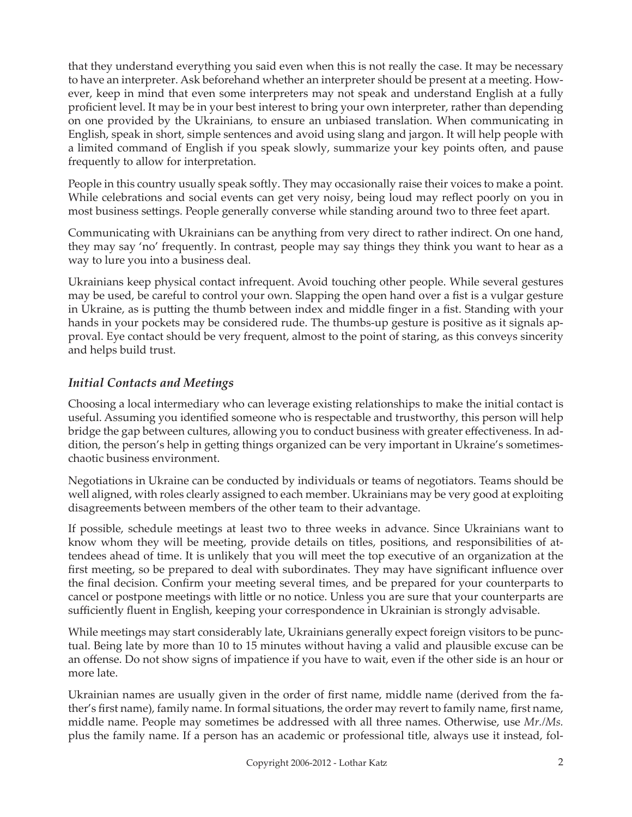that they understand everything you said even when this is not really the case. It may be necessary to have an interpreter. Ask beforehand whether an interpreter should be present at a meeting. However, keep in mind that even some interpreters may not speak and understand English at a fully proficient level. It may be in your best interest to bring your own interpreter, rather than depending on one provided by the Ukrainians, to ensure an unbiased translation. When communicating in English, speak in short, simple sentences and avoid using slang and jargon. It will help people with a limited command of English if you speak slowly, summarize your key points often, and pause frequently to allow for interpretation.

People in this country usually speak softly. They may occasionally raise their voices to make a point. While celebrations and social events can get very noisy, being loud may reflect poorly on you in most business settings. People generally converse while standing around two to three feet apart.

Communicating with Ukrainians can be anything from very direct to rather indirect. On one hand, they may say 'no' frequently. In contrast, people may say things they think you want to hear as a way to lure you into a business deal.

Ukrainians keep physical contact infrequent. Avoid touching other people. While several gestures may be used, be careful to control your own. Slapping the open hand over a fist is a vulgar gesture in Ukraine, as is putting the thumb between index and middle finger in a fist. Standing with your hands in your pockets may be considered rude. The thumbs-up gesture is positive as it signals approval. Eye contact should be very frequent, almost to the point of staring, as this conveys sincerity and helps build trust.

### *Initial Contacts and Meetings*

Choosing a local intermediary who can leverage existing relationships to make the initial contact is useful. Assuming you identified someone who is respectable and trustworthy, this person will help bridge the gap between cultures, allowing you to conduct business with greater effectiveness. In addition, the person's help in getting things organized can be very important in Ukraine's sometimeschaotic business environment.

Negotiations in Ukraine can be conducted by individuals or teams of negotiators. Teams should be well aligned, with roles clearly assigned to each member. Ukrainians may be very good at exploiting disagreements between members of the other team to their advantage.

If possible, schedule meetings at least two to three weeks in advance. Since Ukrainians want to know whom they will be meeting, provide details on titles, positions, and responsibilities of attendees ahead of time. It is unlikely that you will meet the top executive of an organization at the first meeting, so be prepared to deal with subordinates. They may have significant influence over the final decision. Confirm your meeting several times, and be prepared for your counterparts to cancel or postpone meetings with little or no notice. Unless you are sure that your counterparts are sufficiently fluent in English, keeping your correspondence in Ukrainian is strongly advisable.

While meetings may start considerably late, Ukrainians generally expect foreign visitors to be punctual. Being late by more than 10 to 15 minutes without having a valid and plausible excuse can be an offense. Do not show signs of impatience if you have to wait, even if the other side is an hour or more late.

Ukrainian names are usually given in the order of first name, middle name (derived from the father's first name), family name. In formal situations, the order may revert to family name, first name, middle name. People may sometimes be addressed with all three names. Otherwise, use *Mr./Ms.* plus the family name. If a person has an academic or professional title, always use it instead, fol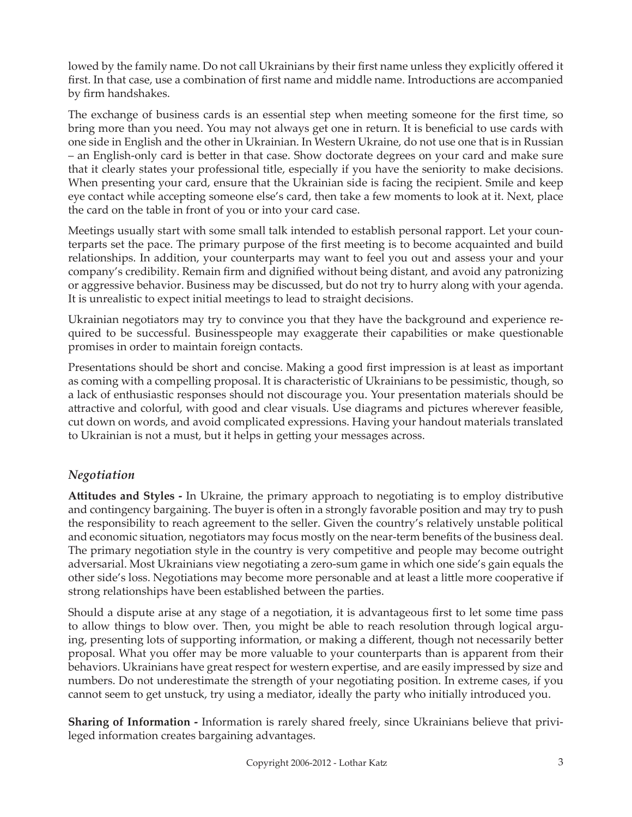lowed by the family name. Do not call Ukrainians by their first name unless they explicitly offered it first. In that case, use a combination of first name and middle name. Introductions are accompanied by firm handshakes.

The exchange of business cards is an essential step when meeting someone for the first time, so bring more than you need. You may not always get one in return. It is beneficial to use cards with one side in English and the other in Ukrainian. In Western Ukraine, do not use one that is in Russian – an English-only card is better in that case. Show doctorate degrees on your card and make sure that it clearly states your professional title, especially if you have the seniority to make decisions. When presenting your card, ensure that the Ukrainian side is facing the recipient. Smile and keep eye contact while accepting someone else's card, then take a few moments to look at it. Next, place the card on the table in front of you or into your card case.

Meetings usually start with some small talk intended to establish personal rapport. Let your counterparts set the pace. The primary purpose of the first meeting is to become acquainted and build relationships. In addition, your counterparts may want to feel you out and assess your and your company's credibility. Remain firm and dignified without being distant, and avoid any patronizing or aggressive behavior. Business may be discussed, but do not try to hurry along with your agenda. It is unrealistic to expect initial meetings to lead to straight decisions.

Ukrainian negotiators may try to convince you that they have the background and experience required to be successful. Businesspeople may exaggerate their capabilities or make questionable promises in order to maintain foreign contacts.

Presentations should be short and concise. Making a good first impression is at least as important as coming with a compelling proposal. It is characteristic of Ukrainians to be pessimistic, though, so a lack of enthusiastic responses should not discourage you. Your presentation materials should be attractive and colorful, with good and clear visuals. Use diagrams and pictures wherever feasible, cut down on words, and avoid complicated expressions. Having your handout materials translated to Ukrainian is not a must, but it helps in getting your messages across.

## *Negotiation*

**Attitudes and Styles -** In Ukraine, the primary approach to negotiating is to employ distributive and contingency bargaining. The buyer is often in a strongly favorable position and may try to push the responsibility to reach agreement to the seller. Given the country's relatively unstable political and economic situation, negotiators may focus mostly on the near-term benefits of the business deal. The primary negotiation style in the country is very competitive and people may become outright adversarial. Most Ukrainians view negotiating a zero-sum game in which one side's gain equals the other side's loss. Negotiations may become more personable and at least a little more cooperative if strong relationships have been established between the parties.

Should a dispute arise at any stage of a negotiation, it is advantageous first to let some time pass to allow things to blow over. Then, you might be able to reach resolution through logical arguing, presenting lots of supporting information, or making a different, though not necessarily better proposal. What you offer may be more valuable to your counterparts than is apparent from their behaviors. Ukrainians have great respect for western expertise, and are easily impressed by size and numbers. Do not underestimate the strength of your negotiating position. In extreme cases, if you cannot seem to get unstuck, try using a mediator, ideally the party who initially introduced you.

**Sharing of Information -** Information is rarely shared freely, since Ukrainians believe that privileged information creates bargaining advantages.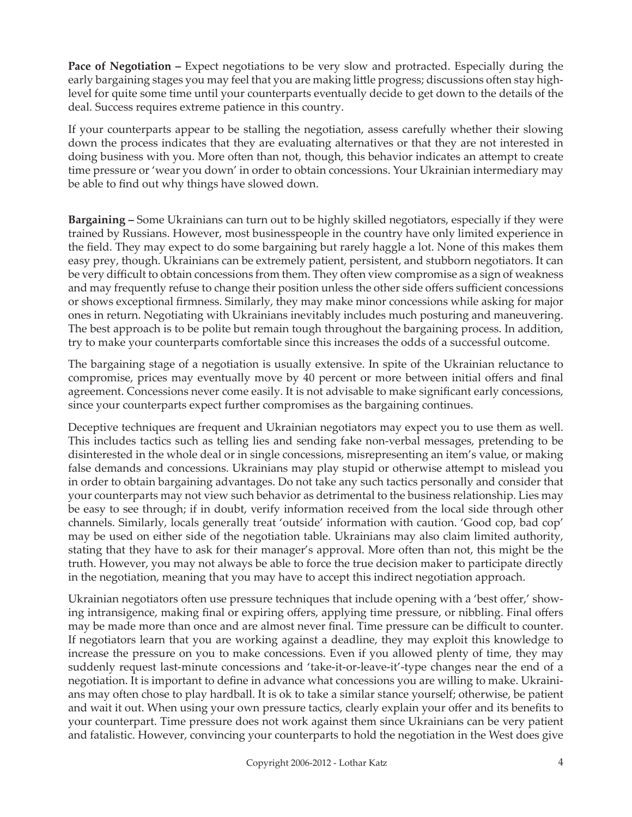**Pace of Negotiation –** Expect negotiations to be very slow and protracted. Especially during the early bargaining stages you may feel that you are making little progress; discussions often stay highlevel for quite some time until your counterparts eventually decide to get down to the details of the deal. Success requires extreme patience in this country.

If your counterparts appear to be stalling the negotiation, assess carefully whether their slowing down the process indicates that they are evaluating alternatives or that they are not interested in doing business with you. More often than not, though, this behavior indicates an attempt to create time pressure or 'wear you down' in order to obtain concessions. Your Ukrainian intermediary may be able to find out why things have slowed down.

**Bargaining –** Some Ukrainians can turn out to be highly skilled negotiators, especially if they were trained by Russians. However, most businesspeople in the country have only limited experience in the field. They may expect to do some bargaining but rarely haggle a lot. None of this makes them easy prey, though. Ukrainians can be extremely patient, persistent, and stubborn negotiators. It can be very difficult to obtain concessions from them. They often view compromise as a sign of weakness and may frequently refuse to change their position unless the other side offers sufficient concessions or shows exceptional firmness. Similarly, they may make minor concessions while asking for major ones in return. Negotiating with Ukrainians inevitably includes much posturing and maneuvering. The best approach is to be polite but remain tough throughout the bargaining process. In addition, try to make your counterparts comfortable since this increases the odds of a successful outcome.

The bargaining stage of a negotiation is usually extensive. In spite of the Ukrainian reluctance to compromise, prices may eventually move by 40 percent or more between initial offers and final agreement. Concessions never come easily. It is not advisable to make significant early concessions, since your counterparts expect further compromises as the bargaining continues.

Deceptive techniques are frequent and Ukrainian negotiators may expect you to use them as well. This includes tactics such as telling lies and sending fake non-verbal messages, pretending to be disinterested in the whole deal or in single concessions, misrepresenting an item's value, or making false demands and concessions. Ukrainians may play stupid or otherwise attempt to mislead you in order to obtain bargaining advantages. Do not take any such tactics personally and consider that your counterparts may not view such behavior as detrimental to the business relationship. Lies may be easy to see through; if in doubt, verify information received from the local side through other channels. Similarly, locals generally treat 'outside' information with caution. 'Good cop, bad cop' may be used on either side of the negotiation table. Ukrainians may also claim limited authority, stating that they have to ask for their manager's approval. More often than not, this might be the truth. However, you may not always be able to force the true decision maker to participate directly in the negotiation, meaning that you may have to accept this indirect negotiation approach.

Ukrainian negotiators often use pressure techniques that include opening with a 'best offer,' showing intransigence, making final or expiring offers, applying time pressure, or nibbling. Final offers may be made more than once and are almost never final. Time pressure can be difficult to counter. If negotiators learn that you are working against a deadline, they may exploit this knowledge to increase the pressure on you to make concessions. Even if you allowed plenty of time, they may suddenly request last-minute concessions and 'take-it-or-leave-it'-type changes near the end of a negotiation. It is important to define in advance what concessions you are willing to make. Ukrainians may often chose to play hardball. It is ok to take a similar stance yourself; otherwise, be patient and wait it out. When using your own pressure tactics, clearly explain your offer and its benefits to your counterpart. Time pressure does not work against them since Ukrainians can be very patient and fatalistic. However, convincing your counterparts to hold the negotiation in the West does give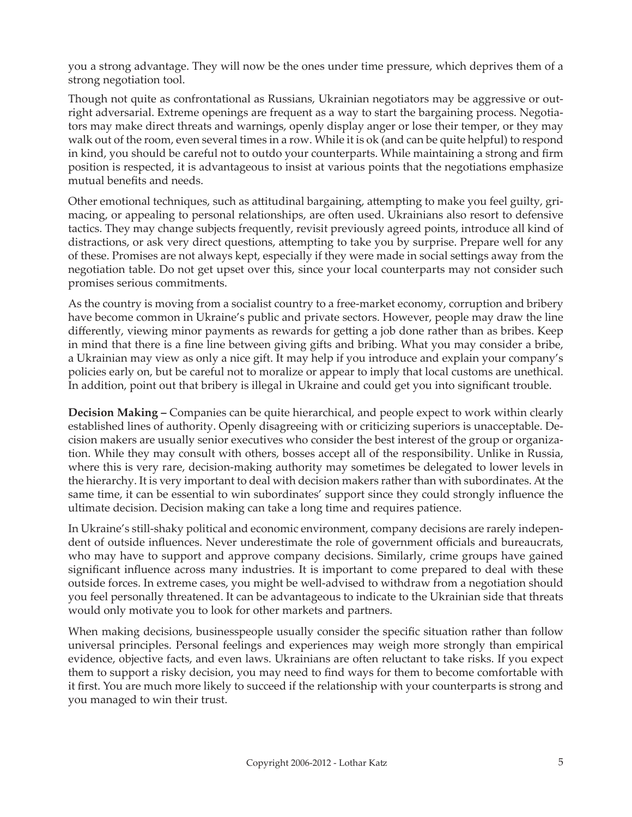you a strong advantage. They will now be the ones under time pressure, which deprives them of a strong negotiation tool.

Though not quite as confrontational as Russians, Ukrainian negotiators may be aggressive or outright adversarial. Extreme openings are frequent as a way to start the bargaining process. Negotiators may make direct threats and warnings, openly display anger or lose their temper, or they may walk out of the room, even several times in a row. While it is ok (and can be quite helpful) to respond in kind, you should be careful not to outdo your counterparts. While maintaining a strong and firm position is respected, it is advantageous to insist at various points that the negotiations emphasize mutual benefits and needs.

Other emotional techniques, such as attitudinal bargaining, attempting to make you feel guilty, grimacing, or appealing to personal relationships, are often used. Ukrainians also resort to defensive tactics. They may change subjects frequently, revisit previously agreed points, introduce all kind of distractions, or ask very direct questions, attempting to take you by surprise. Prepare well for any of these. Promises are not always kept, especially if they were made in social settings away from the negotiation table. Do not get upset over this, since your local counterparts may not consider such promises serious commitments.

As the country is moving from a socialist country to a free-market economy, corruption and bribery have become common in Ukraine's public and private sectors. However, people may draw the line differently, viewing minor payments as rewards for getting a job done rather than as bribes. Keep in mind that there is a fine line between giving gifts and bribing. What you may consider a bribe, a Ukrainian may view as only a nice gift. It may help if you introduce and explain your company's policies early on, but be careful not to moralize or appear to imply that local customs are unethical. In addition, point out that bribery is illegal in Ukraine and could get you into significant trouble.

**Decision Making –** Companies can be quite hierarchical, and people expect to work within clearly established lines of authority. Openly disagreeing with or criticizing superiors is unacceptable. Decision makers are usually senior executives who consider the best interest of the group or organization. While they may consult with others, bosses accept all of the responsibility. Unlike in Russia, where this is very rare, decision-making authority may sometimes be delegated to lower levels in the hierarchy. It is very important to deal with decision makers rather than with subordinates. At the same time, it can be essential to win subordinates' support since they could strongly influence the ultimate decision. Decision making can take a long time and requires patience.

In Ukraine's still-shaky political and economic environment, company decisions are rarely independent of outside influences. Never underestimate the role of government officials and bureaucrats, who may have to support and approve company decisions. Similarly, crime groups have gained significant influence across many industries. It is important to come prepared to deal with these outside forces. In extreme cases, you might be well-advised to withdraw from a negotiation should you feel personally threatened. It can be advantageous to indicate to the Ukrainian side that threats would only motivate you to look for other markets and partners.

When making decisions, businesspeople usually consider the specific situation rather than follow universal principles. Personal feelings and experiences may weigh more strongly than empirical evidence, objective facts, and even laws. Ukrainians are often reluctant to take risks. If you expect them to support a risky decision, you may need to find ways for them to become comfortable with it first. You are much more likely to succeed if the relationship with your counterparts is strong and you managed to win their trust.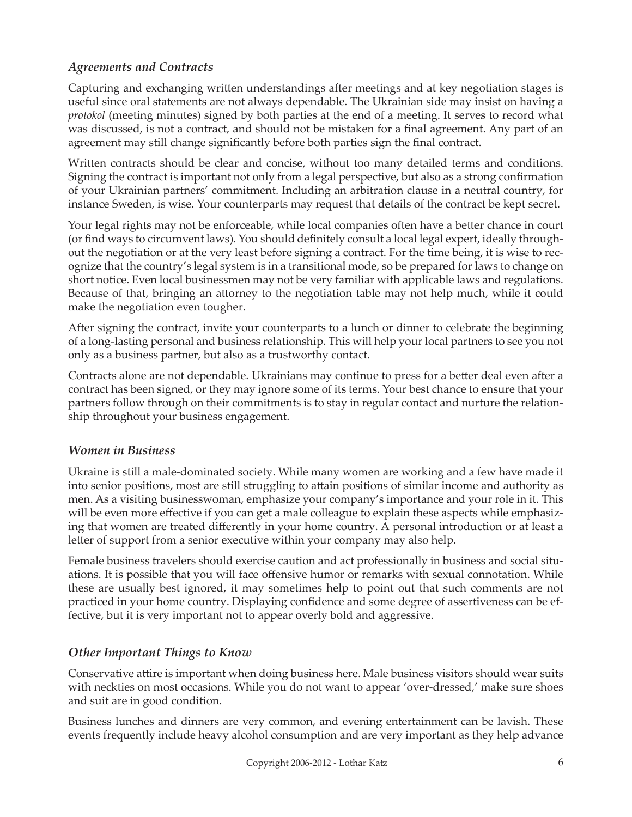# *Agreements and Contracts*

Capturing and exchanging written understandings after meetings and at key negotiation stages is useful since oral statements are not always dependable. The Ukrainian side may insist on having a *protokol* (meeting minutes) signed by both parties at the end of a meeting. It serves to record what was discussed, is not a contract, and should not be mistaken for a final agreement. Any part of an agreement may still change significantly before both parties sign the final contract.

Written contracts should be clear and concise, without too many detailed terms and conditions. Signing the contract is important not only from a legal perspective, but also as a strong confirmation of your Ukrainian partners' commitment. Including an arbitration clause in a neutral country, for instance Sweden, is wise. Your counterparts may request that details of the contract be kept secret.

Your legal rights may not be enforceable, while local companies often have a better chance in court (or find ways to circumvent laws). You should definitely consult a local legal expert, ideally throughout the negotiation or at the very least before signing a contract. For the time being, it is wise to recognize that the country's legal system is in a transitional mode, so be prepared for laws to change on short notice. Even local businessmen may not be very familiar with applicable laws and regulations. Because of that, bringing an attorney to the negotiation table may not help much, while it could make the negotiation even tougher.

After signing the contract, invite your counterparts to a lunch or dinner to celebrate the beginning of a long-lasting personal and business relationship. This will help your local partners to see you not only as a business partner, but also as a trustworthy contact.

Contracts alone are not dependable. Ukrainians may continue to press for a better deal even after a contract has been signed, or they may ignore some of its terms. Your best chance to ensure that your partners follow through on their commitments is to stay in regular contact and nurture the relationship throughout your business engagement.

#### *Women in Business*

Ukraine is still a male-dominated society. While many women are working and a few have made it into senior positions, most are still struggling to attain positions of similar income and authority as men. As a visiting businesswoman, emphasize your company's importance and your role in it. This will be even more effective if you can get a male colleague to explain these aspects while emphasizing that women are treated differently in your home country. A personal introduction or at least a letter of support from a senior executive within your company may also help.

Female business travelers should exercise caution and act professionally in business and social situations. It is possible that you will face offensive humor or remarks with sexual connotation. While these are usually best ignored, it may sometimes help to point out that such comments are not practiced in your home country. Displaying confidence and some degree of assertiveness can be effective, but it is very important not to appear overly bold and aggressive.

## *Other Important Things to Know*

Conservative attire is important when doing business here. Male business visitors should wear suits with neckties on most occasions. While you do not want to appear 'over-dressed,' make sure shoes and suit are in good condition.

Business lunches and dinners are very common, and evening entertainment can be lavish. These events frequently include heavy alcohol consumption and are very important as they help advance